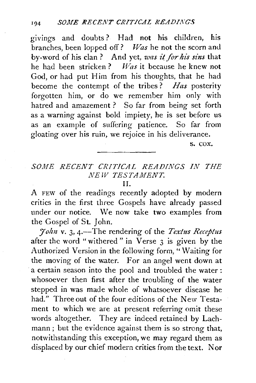givings and doubts? Had not his children, his branches, been lopped off? *Was* he not the scorn and by-word of his clan? And yet, was it for his sins that he had been stricken? *Was* it because he knew not God, or had put Him from his thoughts, that he had become the contempt of the tribes? *Has* posterity forgotten him, or do we remember him only with hatred and amazement ? So far from being set forth as a warning against bold impiety, he is set before us as an example of suffering patience. So far from gloating over his ruin, we rejoice in his deliverance.

s. cox.

## *SOME RECENT CRITICAL READINGS IN THE NEW TESTAMENT.*

II.

A FEW of the readings recently adopted by modern critics in the first three Gospels have already passed under our notice. \Ve now take two examples from the Gospel of St. John.

 $7$ *ohn* v. 3, 4.-The rendering of the *Textus Receptus* after the word "withered" in Verse 3 is given by the Authorized Version in the following form, "Waiting for the moving of the water. For an angel went down at a certain season into the pool and troubled the water : whosoever then first after the troubling of the water stepped in was made whole of whatsoever disease he had." Three out of the four editions of the New Testament to which we are at present referring omit these words altogether. They are indeed retained by Lachmann ; but the evidence against them is so strong that, notwithstanding this exception, we may regard them as displaced by our chief modern critics from the text. Nor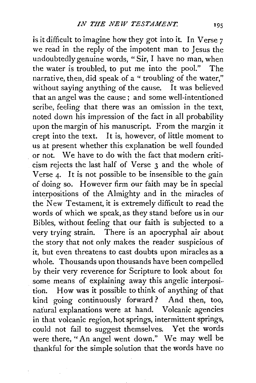is it difficult to imagine how they got into it. In Verse 7 we read in the reply of the impotent man to Jesus the undoubtedly genuine words, "Sir, I have no man, when the water is troubled, to put me into the pool." The narrative, then, did speak of a "troubling of the water," without saying anything of the cause. It was believed that an angel was the cause ; and some well-intentioned scribe, feeling that there was an omission in the text, noted down his impression of the fact in all probability upon the margin of his manuscript. From the margin it crept into the text. It is, however, of little moment *to*  us at present whether this explanation be well founded or not. We have to do with the fact that modern criticism rejects the last half of Verse 3 and the whole of Verse 4· It is not possible *to* be insensible *to* the gain of doing so. However firm our faith may be in special interpositions of the Almighty and in the miracles of the New Te<>tament, it is extremely difficult *to* read the words of which we speak, as they stand before us in our Bibles, without feeling that our faith is subjected *to* a very trying strain. There is an apocryphal air about the story that not only makes the reader suspicious of it, but even threatens *to* cast doubts upon miracles as a whole. Thousands upon thousands have been compelled by their very reverence for Scripture *to* look about fat some means of explaining away this angelic interposi·· tion. How was it possible *to* think of anything of that kind going continuously forward ? And then, too, natural explanations were at hand. Volcanic agencies in that volcanic region, hot springs, intermittent springs, could not fail *to* suggest themselves. Yet the words were there, "An angel went down." We may well be thankful for the simple solution that the words have no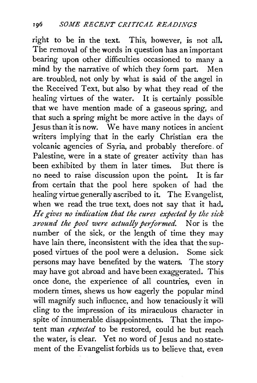right to be in the text. This, however, is not all. The removal of the words in question has an important bearing upon other difficulties occasioned to many a mind by the narrative of which they form part. Men are. troubled, not only by what is said of the angel in the Received Text, but also by what they read of the healing virtues of the water. It is certainly possible that we have mention made of a gaseous spring, and that such a spring might be more active in the days of Jesus than it is now. We have many notices in ancient writers implying that in the early Christian era the volcanic agencies of Syria, and probably therefore. of Palestine, were in a state of greater activity than has been exhibited by them in later times. But there is no need to raise discussion upon the point. It is far from certain that the pool here spoken of had the healing virtue generally ascribed to it. The Evangelist, when we read the true text, does not say that it had. *He gives no indication that the cures expected by the sick :wound the pool were actually performed.* Nor is the number of the sick, or the length of time they may have lain there, inconsistent with the idea that the supposed virtues of the pool were a delusion. Some sick persons may have benefited by the waters. The story may have got abroad and have been exaggerated. This once done, the experience of all countries, even in modern times, shews us how eagerly the popular mind will magnify such influence, and how tenaciously it will cling to the impression of its miraculous character in spite of innumerable disappointments. That the impotent man *expected* to be restored, could he but reach the water, is clear. Yet no word of Jesus and no statement of the Evangelist forbids us to believe that, even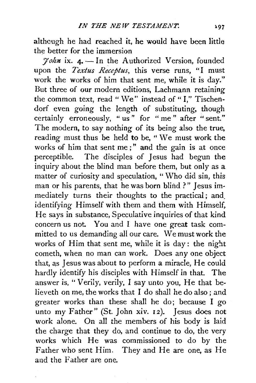although he had reached it, he would have been little the better for the immersion

 $7$ *ohn* ix. 4. - In the Authorized Version, founded upon the *Textus Receptus,* this verse runs, "I must work the works of him that sent me, while it is day." But three of our modern editions, Lachmann retaining the common text, read " We" instead of "I," Tischendorf even going the length of substituting, though certainly erroneously, "us" for "me" after "sent." The modern, to say nothing of its being also the true, reading must thus be held to be, " We must work the works of him that sent me;" and the gain is at once perceptible. The disciples of Jesus had begun the inquiry about the blind man before them, but only as a matter of curiosity and speculation, " Who did sin, this man or his parents, that he was born blind ?" Jesus immediately turns their thoughts to the practical; and, identifying Himself with them and them with Himself, He says in substance, Speculative inquiries of that kind concern us not. You and I have one great task committed to us demanding all our care. We must work the works of Him that sent me, while it is day: the night cometh, when no man can work. Does any one object that, as Jesus was about to perform a miracle, He could hardly identify his disciples with Himself in that. The answer is, "Verily, verily, I say unto you, He that believeth on me, the works that I do shall he do also ; and greater works than these shall he do; because I go unto my Father" (St. John xiv. 12). Jesus does not work alone. On all the members of his body is laid the charge that they do, and continue to do, the very works which He was commissioned to do by the Father who sent Him. They and He are one, as He and the Father are one.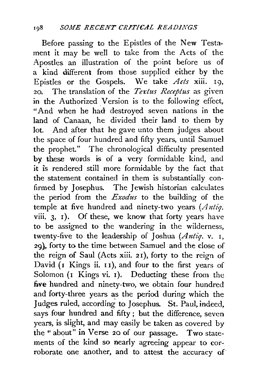Before passing to the Epistles of the New Testament it may be well to take from the Acts of the Apostles an illustration of the point before us of a kind different from those supplied either by the Epistles or the Gospels. We take *Acts* xiii. 19, 20. The translation of the *Textus Receptus* as given in the Authorized Version is to the following effect, "And when he had destroyed seven nations in the land of Canaan, he divided their land to them by lot. And after that he gave unto them judges about the space of four hundred and fifty years, until Samuel the prophet." The chronological difficulty presented by these words is of a very formidable kind, and it is rendered still more formidable by the fact that the statement contained in them is substantially confirmed by Josephus. The Jewish historian calculates the period from the *Exodus* to the building of the temple at five hundred and ninety-two years *(Antiq.*  viii. 3, 1). Of these, we know that forty years have to be assigned to the wandering in the wilderness, twenty-five to the leadership of Joshua *(Antiq.* v. I, 29}. forty to the time between Samuel and the close of the reign of Saul (Acts xiii. 2 I), forty to the reign of David  $(I$  Kings ii.  $II$ ), and four to the first years of Solomon (I Kings vi. 1). Deducting these from the five hundred and ninety-two, we obtain four hundred and forty-three years as the period during which the Judges ruled, according to Josephus. St. Paul, indeed, says four hundred and fifty ; but the difference, seven years, is slight, and may easily be taken as covered by the" about" in Verse 20 of our passage. Two statements of the kind so nearly agreeing appear to corroborate one another, and to attest the accuracy of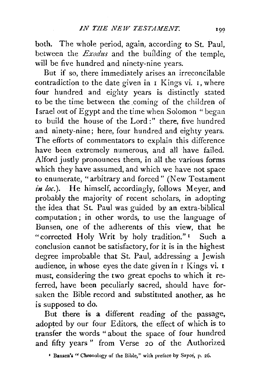both. The whole period, again, according to St. Paul, between the *Exodus* and the bullding of the temple, will be five hundred and ninety-nine years.

But if so, there immediately arises an irreconcilable contradiction to the date given in I Kings vi. I, where four hundred and eighty years is distinctly stated to be the time between the coming of the children of Israel out of Egypt and the time when Solomon "began to build the house of the Lord :" there, five hundred and ninety-nine; here, four hundred and eighty years. The efforts of commentators to explain this difference have been extremely numerous, and all have failed. Alford justly pronounces them, in all the various forms which they have assumed, and which we have not space to enumerate, "arbitrary and forced" (New Testament in loc.). He himself, accordingly, follows Meyer, and probably the majority of recent scholars, in adopting the idea that St. Paul was guided by an extra-biblical computation ; in other words, to use the language of Bunsen, one of the adherents of this view, that he "corrected Holy Writ by holy tradition."<sup>1</sup> Such a conclusion cannot be satisfactory, for it is in the highest degree improbable that St. Paul, addressing a Jewish audience, in whose eyes the date given in I Kings vi. I must, considering the two great epochs to which it referred, have been peculiarly sacred, should have forsaken the Bible record and substituted another, as he is supposed to do.

But there is a different reading of the passage, adopted by our four Editors, the effect of which is to transfer the words "about the space of four hundred and fifty years" from Verse 20 of the Authorized

<sup>&</sup>lt;sup>*r*</sup> Bunsen's " Chronology of the Bible," with preface by Sayce, p. 26.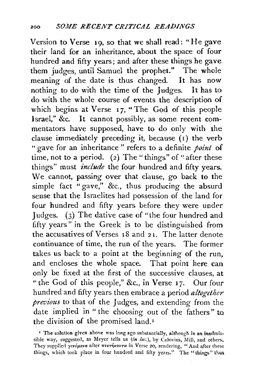Version to Verse 19, so that we shall read: "He gave their land for an inheritance, about the space of four hundred and fifty years; and after these things he gave them judges, until Samuel the prophet." The whole meaning of the date is thus changed. It has now nothing to do with the time of the Judges. It has to do with the whole course of events the description of which begins at Verse 17, "The God of this people Israel," &c. It cannot possibly, as some recent commentators have supposed, have to do only with the clause immediately preceding it, because (I) the verb " gave for an inheritance" refers to a definite *point* of time, not to a period. (2) The "things" of "after these things" must *include* the four hundred and fifty years. We cannot, passing over that clause, go back to the simple fact "gave," &c., thus producing the absurd sense that the Israelites had possession of the land for four hundred and fifty years before they were under Judges. (3) The dative case of "the four hundred and fifty years" in the Greek is to be distinguished from the accusatives of Verses 18 and 21. The latter denote continuance of time, the run of the years. The former takes us back to a point at the beginning of the run, and encloses the whole space. That point here can only be fixed at the first of the successive clauses, at "the God of this people," &c., in Verse 17. Our four hundred and fifty years then embrace a period *altogether previous* to that of the Judges, and extending from the date implied in "the choosing out of the fathers" to the division of the promised land. <sup>1</sup>

<sup>&</sup>lt;sup>1</sup> The solution given above was long ago substantially, although in an inadmissible way, suggested, as Meyer tells us *(in loc.)*, by Calovius, Mill, and others. They supplied *γενόμενα* after πεντήκοντα in Verse 20, rendering, "And after these things, which took place in four hundred and fifty years." The "things" thus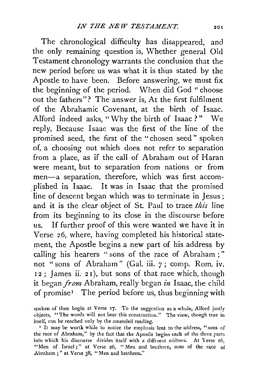The chronological difficulty has disappeared, and the only remaining question is, Whether general Old Testament chronology warrants the conclusion that the new period before us was what it is thus stated by the Apostle to have been. Before answering, we must fix the beginning of the period. When did God " choose out the fathers"? The answer is, At the first fulfilment of the Abrahamic Covenant, at the birth of Isaac. Alford indeed asks, "Why the birth of Isaac?" We reply, Because Isaac was the first of the line of the promised seed, the first of the " chosen seed " spoken of, a choosing out which does not refer to separation from a place, as if the call of Abraham out of Haran were meant, but to separation from nations or from men-a separation, therefore, which was first accomplished in Isaac. It was in Isaac that the promised line of descent began which was to terminate in Jesus ; and it is the clear object of St. Paul to trace *this* line from its beginning to its close in the discourse before us. If further proof of this were wanted we have it in Verse 26, where, having completed his historical statement, the Apostle begins a new part of his address by calling his hearers "sons of the race of Abraham ; " not "sons of Abraham" (Gal. iii. 7 ; comp. Rom. iv. 12 ; James ii. 21), but sons of that race which, though it began *from* Abraham, really began *in* Isaac, the child of promise<sup> $I$ </sup> The period before us, thus beginning with

spoken of then begin at Verse 17. To the suggestion as a whole, Alford justly objects, "The words will not bear this construction." The view, though true in itself, can be reached only by the amended reading.

<sup>I</sup> It may be worth while to notice the emphasis lent to the address, "sons of the race of Abraham," by the fact that the Apostle begins each of the three parts into which his discourse divides itself with a different address. At Verse 16, "Men of Israel;" at Verse 26, "Men and brethren, sons of the race of Abraham ; " at Verse 38, "Men and brethren."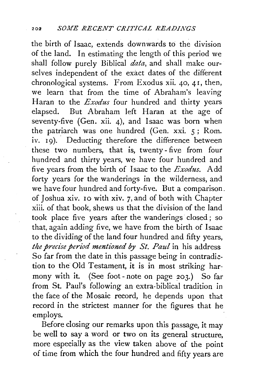the birth of Isaac, extends downwards to the division of the land. In estimating the length of this period we shall follow purely Biblical *data,* and shall make ourselves independent of the exact dates of the different chronological systems. From Exodus xii. 40, 4 I, then, we learn that from the time of Abraham's leaving Haran to the *Exodus* four hundred and thirty years elapsed. But Abraham left Haran at the age of seventy-five (Gen. xii. 4), and Isaac was born when the patriarch was one hundred (Gen. xxi. 5 ; Rom. iv. 19). Deducting therefore the difference between these two numbers, that is, twenty- five from four hundred and thirty years, we have four hundred and five years from the birth of Isaac to the *Exodus.* Add forty years for the wanderings in the wilderness, and we have four hundred and forty-five. But a comparison. of Joshua xiv. 10 with xiv. 7, and of both with Chapter xiii. of that book, shews us that the division of the land took place five years after the wanderings closed ; so that, again adding five, we have from the birth of Isaac to the dividing of the land four hundred and fifty years, *the precise period mentioned by St. Paul* in his address So far from the date in this passage being in contradiction to the Old Testament, it is in most striking harmony with it. (See foot- note on page 203.) So far from St. Paul's following an extra-biblical tradition in the face of the Mosaic record, he depends upon that record in the strictest manner for the figures that he employs.

Before closing our remarks upon this passage, it may be well to say a word or two on its general structure, more especially as the view taken above of the point of time from which the four hundred and fifty years are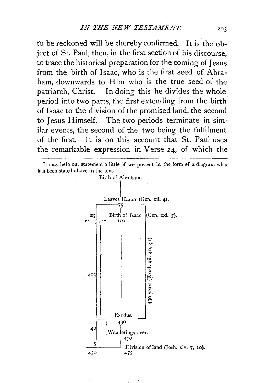fo be reckoned will be thereby confirmed. It is the object of St. Paul, then, in the first section of his discourse, to trace the historical preparation for the coming of Jesus from the birth of Isaac, who is the first seed of Abraham, downwards to Him who is the true seed of the patriarch, Christ. In doing this he divides the whole period into two parts, the first extending from the birth of lsaac to the division of the promised land, the second to Jesus Himself. The two periods terminate in similar events, the second of the two being the fulfilment of the first. It is on this account that St. Paul uses the remarkable expression in Verse 24, of which the



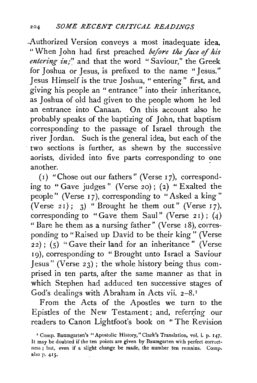Authorized Version conveys a most inadequate idea, " When John had first preached *before the face of his entering in;*" and that the word "Saviour," the Greek for Joshua or Jesus, is prefixed to the name "Jesus." Jesus Himself is the true Joshua, "entering" first, and giving his people an " entrance" into their inheritance, as Joshua of old had given to the people whom he led an entrance into Canaan. On this account also he probably speaks of the baptizing of John, that baptism corresponding to the passage of Israel through the river Jordan. Such is the general idea, but each of the two sections is further, as shewn by the successive aorists, divided into five parts corresponding to one another.

(I) "Chose out our fathers" (Verse I 7), corresponding to "Gave judges" (Verse 20); (2) "Exalted the people" (Verse 17), corresponding to "Asked a king" (Verse 21); 3) " Brought he them out" (Verse 17), corresponding to "Gave them Saul" (Verse 21); (4) "Bare he them as a nursing father" (Verse  $18$ ), corresponding to "Raised up David to be their king" (Verse  $22)$ ; (5) "Gave their land for an inheritance" (Verse I9), corresponding to "Brought unto Israel a Saviour Jesus" (Verse 23) ; the whole history being thus comprised in ten parts, after the same manner as that in which Stephen had adduced ten successive stages of God's dealings with Abraham in Acts vii. 2-8. <sup>1</sup>

From the Acts of the Apostles we turn to the Epistles of the New Testament; and, referring our readers to Canon Lightfoot's book on "The Revision

<sup>&</sup>lt;sup>1</sup> Comp. Baumgarten's "Apostolic History," Clark's Translation, vol. i. p. 147. It may be doubted if the ten points are given by Baumgarten with perfect correct· ness; but, even if a slight change be made, the number ten remains. Comp. also p. 415.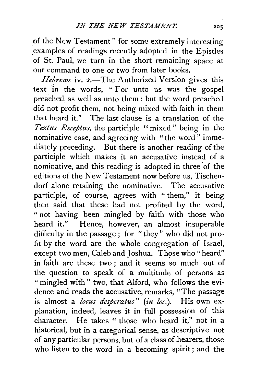of the New Testament" for some extremely interesting examples of readings recently adopted in the Epistles of St. Paul, we turn in the short remaining space at our command to one or two from later books.

*Hebrews* iv. 2.—The Authorized Version gives this text in the words, " For unto us was the gospel preached, as well as unto them : but the word preached did not profit them, not being mixed with faith in them that heard it." The last clause is a translation of the *Textus Recepttes,* the participle " mixed " being in the nominative case, and agreeing with "the word" immediately preceding. But there is another reading of the participle which makes it an accusative instead of a nominative, and this reading is adopted in three of the editions of the New Testament now before us, Tischendorf alone retaining the nominative. The accusative participle, of course, agrees with "them," it being then said that these had not profited by the word, " not having been mingled by faith with those who heard it." Hence, however, an almost insuperable difficulty in the passage ; for "they" who did not profit by the word are the whole congregation of Israel, except two men, Caleb and Joshua. Those who" heard" in faith are these two ; and it seems so much out of the question to speak of a multitude of persons as " mingled with " two, that Alford, who follows the evidence and reads the accusative, remarks, "The passage is almost a *locus desperatus*" (*in loc.*). His own explanation, indeed, leaves it in full possession of this character. He takes " those who heard it," not in a historical, but in a categorical sense, as descriptive not of any particular persons, but of a class of hearers, those who listen to the word in a becoming spirit; and the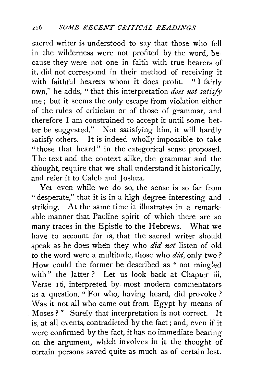sacred writer is understood to say that those who fell in the wilderness were not profited by the word, because they were not one in faith with true hearers of it, did not correspond in their method of receiving it with faithful hearers whom it does profit. "I fairly bwn," he adds, " that this interpretation *does not satisfY*  me; but it seems the only escape from violation either of the rules of criticism or of those of grammar, and therefore I am constrained to accept it until some better be suggested." Not satisfying him, it will hardly satisfy others. It is indeed wholly impossible to take " those that heard" in the categorical sense proposed. The text and the context alike, the grammar and the thought, require that we shall understand it historically, and refer it to Caleb and Joshua.

Yet even while we do so, the sense is so far from "desperate," that it is in a high degree interesting and striking. At the same time it illustrates in a remarkable manner that Pauline spirit of which there are so many traces in the Epistle to the Hebrews. What we have to account for is, that the sacred writer should speak as he does when they who *did not* listen of oid to the word were a multitude, those who *did*, only two? How could the former be described as "not mingled with" the latter? Let us look back at Chapter iii. Verse 16, interpreted by most modern commentators as a question, "For who, having heard, did provoke? Was it not all who came out from Egypt by means of Moses ?" Surely that interpretation is not correct. It is, at all events, contradicted by the fact ; and, even if it were confirmed by the fact, it has no immediate bearing on the argument, which involves in *it* the thought of certain persons saved quite as much as of certain lost.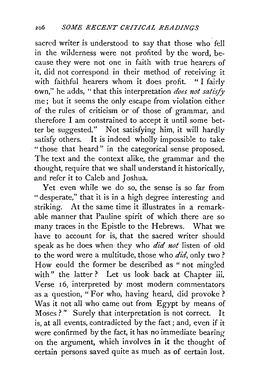sacred writer is understood to say that those who fell in the wilderness were not profited by the word, because they were not one in faith with true hearers of it, did not correspond in their method of receiving it with faithful hearers whom it does profit. "I fairly bwn," he adds, " that this interpretation *does not satisfY*  me; but it seems the only escape from violation either of the rules of criticism or of those of grammar, and therefore I am constrained to accept it until some better be suggested." Not satisfying him, it will hardly satisfy others. It is indeed wholly impossible to take " those that heard" in the categorical sense proposed. The text and the context alike, the grammar and the thought, require that we shall understand it historically, and refer it to Caleb and Joshua.

Yet even while we do so, the sense is so far from " desperate," that it is in a high degree interesting and striking. At the same time it illustrates in a remarkable manner that Pauline spirit of which there are so many traces in the Epistle to the Hebrews. What we have to account for is, that the sacred writer should speak as he does when they who *did not* listen of oid to the word were a multitude, those who *did,* only two? How could the former be described as "not mingled with" the latter? Let us look back at Chapter iii. Verse 16, interpreted by most modern commentators as a question, "For who, having heard, did provoke? Was it not all who came out from Egypt by means of Moses ?" Surely that interpretation is not correct. It is, at all events, contradicted by the fact; and, even if it were confirmed by the fact, it has no immediate bearing on the argument, which involves in it the thought of certain persons saved quite as much as of certain lost.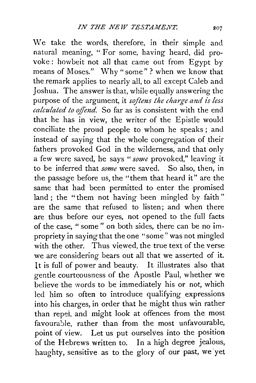We take the words, therefore, in their simple and natural meaning, " For some, having heard, did provoke: howbeit not all that came out from Egypt by means of Moses." Why" some" ? when we know that the remark applies to nearly all, to all except Caleb and Joshua. The answer is that, while equally answering the purpose of the argument, it *softens the charge aud is less calculated to offend.* So far as is consistent with the end that he has in view, the writer of the Epistle would conciliate the proud people to whom he speaks ; and instead of saying that the whole congregation of their fathers provoked God in the wilderness, and that only a few were saved, he says *"some* provoked," leaving it to be inferred that *some* were saved. So also, then, in the passage before us, the "them that heard it" are the same that had been permitted to enter the promised land ; the "them not having been mingled by faith" are the same that refused to listen; and when there are thus before our eyes, not opened to the full facts of the case, " some " on both sides, there can be no impropriety in saying that the one "some" was not mingled with the other. Thus viewed, the true text of the verse we are considering bears out all that we asserted of it. l t is full of power and beauty. It illustrates also that gentle courteousness of the Apostle Paul, whether we believe the words to be immediately his or not, which led him so often to introduce qualifying expressions into his charges, in order that he might thus win rather than repel, and might look at offences from the most favourable, rather than from the most unfavourable, point of view. Let us put ourselves into the position of the Hebrews written to. In a high degree jealous, haughty, sensitive as to the glory of our past, we yet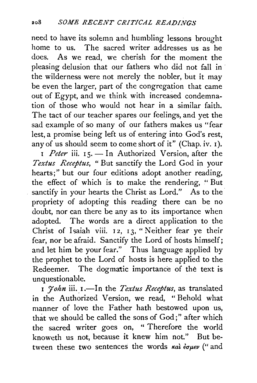need to have its solemn and humbling lessons brought home to us. The sacred writer addresses us as he does. As we read, we cherish for the moment the pleasing delusion that our fathers who did not fall in the wilderness were not merely the nobler, but it may be even the larger, part of the congregation that came out of Egypt, and we think with increased condemnation of those who would not hear in a similar faith. The tact of our teacher spares our feelings, and yet the sad example of so many of our fathers makes us "fear lest, a promise being left us of entering into God's rest, any of us should seem to come short of it" (Chap. iv. I).

I Peter iii. 15. - In Authorized Version, after the *Textus Receptus,* "But sanctify the Lord God in your hearts;" but our four editions adopt another reading, the effect of which is to make the rendering, " But sanctify in your hearts the Christ as Lord." As to the propriety of adopting this reading there can be no doubt, nor can there be any as to its importance when adopted. The words are a direct application to the Christ of Isaiah viii. I 2, I 3, " Neither fear ye their fear, nor be afraid. Sanctify the Lord of hosts himself; and let him be your fear." Thus language applied by the prophet to the Lord of hosts is here applied to the Redeemer. The dogmatic importance of the text is unquestionable.

I *John* iii. I.-In the *Textus Receptus*, as translated in the Authorized Version, we read, "Behold what manner of love the Father hath bestowed upon us, that we should be called the sons of God;" after which the sacred writer goes on, " Therefore the world knoweth us not, because it knew him not." But between these two sentences the words  $\kappa a$  *iouev* (" and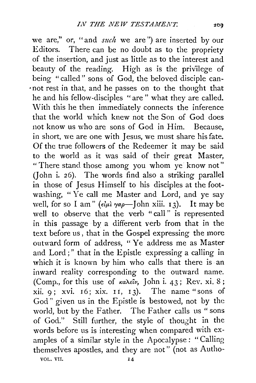we are," or, "and *such* we are") are inserted by our Editors. There can be no doubt as to the propriety of the insertion, and just as little as to the interest and beauty of the reading. High as is the privilege of being "called" sons of God, the beloved disciple can-·not rest in that, and he passes on to the thought that he and his fellow-disciples "are " what they are called. With this he then immediately connects the inference that the world which knew not the Son of God does not know us who are sons of God in Him. Because, in short, we are one with Jesus, we must share his fate. Of the true followers of the Redeemer it may be said to the world as it was said of their great Master, "There stand those among you whom ye· know not" (John i. 26). The words find also a striking parallel in those of Jesus Himself to his disciples at the footwashing, " Ye call me Master and Lord, and ye say well, for so I am"  $(\epsilon \omega) \gamma a \rho$ -John xiii. 13). It may be well to observe that the verb "call" is represented in this passage by a different verb from that in the text before us, that in the Gospel expressing the more outward form of address, "Ye· address me as Master and Lord;" that in the Epistle expressing a calling in which it is known by him who calls that there is an inward reality corresponding to the outward name. (Comp., for this use of  $\kappa a \lambda \epsilon \hat{\iota} \nu$ , John i. 43; Rev. xi. 8; xii. 9; xvi. 16; xix. 11, 13). The name "sons of God" given us in the Epistle is bestowed, not by the world, but by the Father. The Father calls us "sons of God." Still further, the style of thought in the words before us is interesting when compared with examples of a similar style in the Apocalypse: "Calling themselves apostles, and they are not" (not as Autho-VOL. VII. 14

200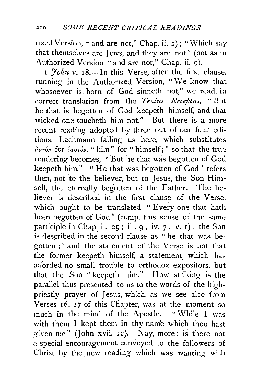rized Version, " and are not," Chap. ii. 2) ; "Which say that themselves are Jews, and they are not" (not as in Authorized Version "and are not," Chap. ii. 9).

1 *Yohn* v. 18.—In this Verse, after the first clause, ·running in the Authorized Version, "We know that whosoever is born of God sinneth not," we read, in correct translation from the *Textus Receptus,* "But he that is begotten of God keepeth himself, and that wicked one toucheth him not." But there is a more recent reading adopted by three out of our four edi-. tions, Lachmann failing us here, which substitutes *avTov* for *€avTov,* " him" for " himself; " so that the true rendering becomes, '' But he that was begotten of God keepeth him." "He that was begotten of God" refers then, not to the believer, but to Jesus, the Son Himself, the eternally begotten of the Father. The believer is described in the first clause of the Verse, which ought to be translated, "Every one that hath been begotten of God" (comp. this sense of the same participle in Chap. ii. 29; iii. 9 ; iv. *7* ; v. I) ; the Son is described in the second clause as " he that was begotten;" and the statement of the Verse is not that the former keepeth himself, a statement which has afforded no small trouble to orthodox expositors, but that the Son "keepeth him." How striking is the parallel thus presented to us to the words of the highpriestly prayer of Jesus, which, as we see also from Verses  $16$ ,  $17$  of this Chapter, was at the moment so much in the mind of the Apostle. "While I was with them I kept them in thy nam'e which thou hast given me" (John xvii. 12). Nay, more: is there not a special encouragement conveyed to the followers of Christ by the new reading which was wanting with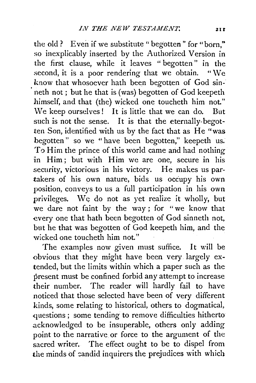the old? Even if we substitute "begotten" for "born," so inexplicably inserted by the Authorized Version in the first clause, while it leaves " begotten" in the second, it is a poor rendering that we obtain. "We know that whosoever hath been begotten of God sinneth not; but he that is (was) begotten of God keepeth himself, and that (the) wicked one toucheth him not." We keep ourselves! It is little that we can do. But such is not the sense. It is that the eternally-begotten Son, identified with us by the fact that as He "was begotten" so we "have been begotten," keepeth us. To Him the prince of this world came and had nothing in Him; but with Him we are one, secure in his security, victorious in his victory. He makes us partakers of his own nature, bids us occupy his own position, conveys to us a full participation in his own privileges. We do not as yet realize it wholly, but we dare not faint by the way; for "we know that every one that hath been begotten of God sinneth not, but he that was begotten of God keepeth him, and the wicked one toucheth him not."

The examples now given must suffice. It will be obvious that they might have been very largely extended, but the limits within which a paper such as the present must be confined forbid any attempt to increase their number. The reader will hardly fail to have noticed that those selected have been of very different kinds, some relating to historical, others to dogmatical, questions; some tending to remove difficulties hitherto .acknowledged to be insuperable, others only adding point to the narrative or force to the argument of the sacred writer. The effect ought to be to dispel from the minds of candid inquirers the prejudices with which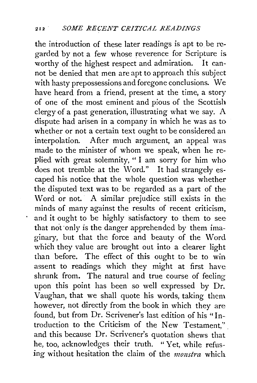the introduction of these later readings is apt to be regarded by not a few whose reverence for Scripture is worthy of the highest respect and admiration. It canworthy of the highest respect and admiration. not be denied that men are apt to approach this subject with hasty prepossessions and foregone conclusions. We have heard from a friend, present at the time, a story of one of the most eminent and pious of the Scottish clergy of a past generation, illustrating what we say. A dispute had arisen in a company in which he was as to whether or not a certain text ought to be considered an interpolation. After much argument, an appeal was made to the minister of whom we speak, when he replied with great solemnity, " I am sorry for him who does not tremble at the Word." It had strangely escaped his notice that the whole question was whether the disputed text was to be regarded as a part of the Word or not. A similar prejudice still exists in the minds of many against the results of recent criticism, and it ought to be highly satisfactory to them to see that not only is the danger apprehended by them imaginary, but that the force and beauty of the Word which they value are brought out into a clearer light than before. The effect of this ought to be to win assent to readings which they might at first have shrunk from. The natural and true course of feeling upon this point has been so well expressed by Dr. Vaughan, that we shall quote his words, taking them however, not directly from the book in which they are found, but from Dr. Scrivener's last edition of his "Introduction to the Criticism of the New Testament'' ' . and this because Dr. Scrivener's quotation shews that he, too, acknowledges their truth. "Yet, while refusing without hesitation the claim of the *monstra* which.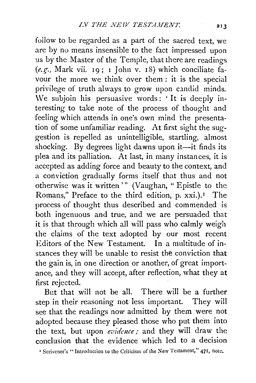follow to be regarded as a part of the sacred text, we are by no means insensible to the fact impressed upon us by the Master of the Temple, that there are readings *(e.r;.,* Mark vii. 19; 1 John v. IS) which conciliate favour the more we think over them : it is the special privilege of truth always to grow upon candid minds. We subjoin his persuasive words: 'It is deeply interesting to take note of the process of thought and feeling which attends in one's own mind the presentation of some unfamiliar reading. At first sight the suggestion is repelled as unintelligible, startling, almost shocking. By degrees light dawns upon it-it finds its plea and its palliation. At last, in many instances, it is accepted as adding force and beauty to the context, and a conviction gradually forms itself that thus and not otherwise was it written '" (Vaughan, " Epistle to the Romans," Preface to the third edition, p. xxi.).<sup>1</sup> The process of thought thus described and commended is both ingenuous and true, and we are persuaded that it is that through which all will pass who calmly weigh the claims of the text adopted by our most recent Editors of the New Testament. In a multitude of instances they will be unable to resist the conviction that the gain is, in one direction or another, of great importance, and they will accept, after reflection, what they at first rejected.

But that will not be all. There will be a further step in their reasoning not less important. They will see that the readings now admitted by them were not adopted because they pleased those who put them into the text, but upon *evidence*; and they will draw the conclusion that the evidence which led to a decision

*•* Scrivener's "Introduction to the Criticism of the New Testament," 471, note.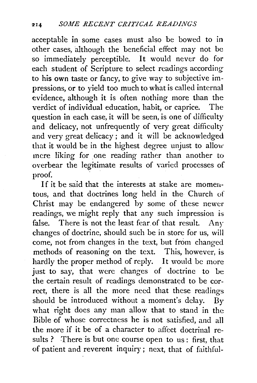acceptable in some cases must also be bowed to in other cases, although the beneficial effect may not be so immediately perceptible. It would never do for each student of Scripture to select readings according to his own taste or fancy, to give way to subjective impressions, or to yield too much to what is called internal evidence, although it is often nothing more than the verdict of individual education, habit, or caprice. The question in each case, it will be seen, is one of difficulty and delicacy, not unfrequently of very great difficulty and very great delicacy ; and it will be acknowledged that it would be in the highest degree unjust to allow incre liking for one reading rather than another to overbear the legitimate results of varied processes of proof.

If it be said that the interests at stake are momentous, and that doctrines long held in the Church of Christ may be endangered by some of these newer readings, we might reply that any such impression is false. There is not the least fear of that result. Any changes of doctrine, should such be in store for us, will come, not from changes in the text, but from changed methods of reasoning on the text. This, however, is hardly the proper method of reply. It would be more just to say, that were changes of doctrine to be the certain result of readings demonstrated to be correct, there is all the more need that these readings should be introduced without a moment's delay. By what right does any man allow that to stand in the Bible of whose correctness he is not satisfied, and all the more if it be of a character to affect doctrinal results ? There is but one course open to us : first, that of patient and reverent inquiry ; next, that of faithful